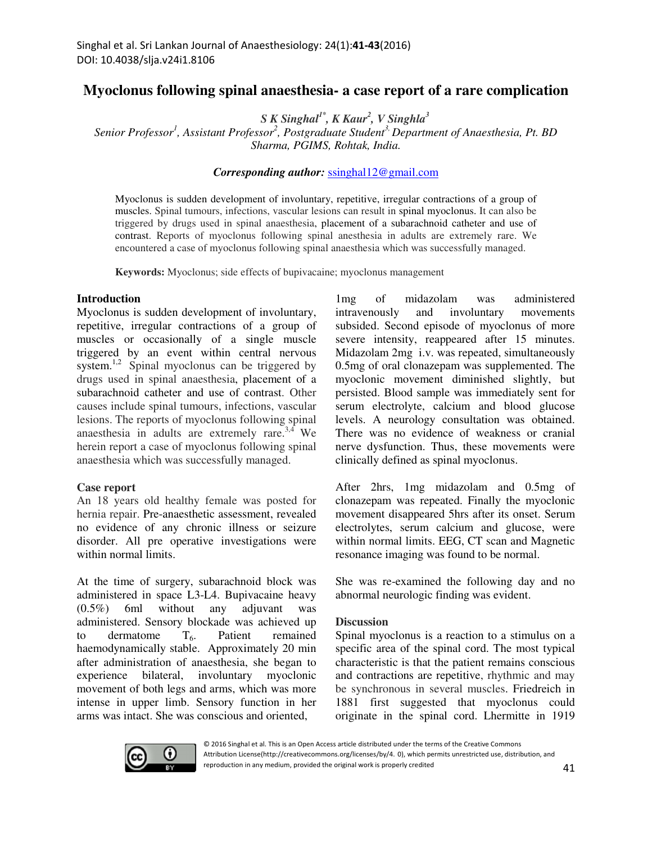# **Myoclonus following spinal anaesthesia- a case report of a rare complication**

*S K Singhal1\*, K Kaur<sup>2</sup> , V Singhla<sup>3</sup>*

*Senior Professor<sup>1</sup> , Assistant Professor<sup>2</sup> , Postgraduate Student3, Department of Anaesthesia, Pt. BD Sharma, PGIMS, Rohtak, India.* 

#### *Corresponding author:* ssinghal12@gmail.com

Myoclonus is sudden development of involuntary, repetitive, irregular contractions of a group of muscles. Spinal tumours, infections, vascular lesions can result in spinal myoclonus. It can also be triggered by drugs used in spinal anaesthesia, placement of a subarachnoid catheter and use of contrast. Reports of myoclonus following spinal anesthesia in adults are extremely rare. We encountered a case of myoclonus following spinal anaesthesia which was successfully managed.

**Keywords:** Myoclonus; side effects of bupivacaine; myoclonus management

#### **Introduction**

Myoclonus is sudden development of involuntary, repetitive, irregular contractions of a group of muscles or occasionally of a single muscle triggered by an event within central nervous system.<sup>1,2</sup> Spinal myoclonus can be triggered by drugs used in spinal anaesthesia, placement of a subarachnoid catheter and use of contrast. Other causes include spinal tumours, infections, vascular lesions. The reports of myoclonus following spinal anaesthesia in adults are extremely rare. $3,4$  We herein report a case of myoclonus following spinal anaesthesia which was successfully managed.

#### **Case report**

An 18 years old healthy female was posted for hernia repair. Pre-anaesthetic assessment, revealed no evidence of any chronic illness or seizure disorder. All pre operative investigations were within normal limits.

At the time of surgery, subarachnoid block was administered in space L3-L4. Bupivacaine heavy (0.5%) 6ml without any adjuvant was administered. Sensory blockade was achieved up to dermatome  $T<sub>6</sub>$ . Patient remained haemodynamically stable. Approximately 20 min after administration of anaesthesia, she began to experience bilateral, involuntary myoclonic movement of both legs and arms, which was more intense in upper limb. Sensory function in her arms was intact. She was conscious and oriented,

1mg of midazolam was administered intravenously and involuntary movements subsided. Second episode of myoclonus of more severe intensity, reappeared after 15 minutes. Midazolam 2mg i.v. was repeated, simultaneously 0.5mg of oral clonazepam was supplemented. The myoclonic movement diminished slightly, but persisted. Blood sample was immediately sent for serum electrolyte, calcium and blood glucose levels. A neurology consultation was obtained. There was no evidence of weakness or cranial nerve dysfunction. Thus, these movements were clinically defined as spinal myoclonus.

After 2hrs, 1mg midazolam and 0.5mg of clonazepam was repeated. Finally the myoclonic movement disappeared 5hrs after its onset. Serum electrolytes, serum calcium and glucose, were within normal limits. EEG, CT scan and Magnetic resonance imaging was found to be normal.

She was re-examined the following day and no abnormal neurologic finding was evident.

#### **Discussion**

Spinal myoclonus is a reaction to a stimulus on a specific area of the spinal cord. The most typical characteristic is that the patient remains conscious and contractions are repetitive, rhythmic and may be synchronous in several muscles. Friedreich in 1881 first suggested that myoclonus could originate in the spinal cord. Lhermitte in 1919

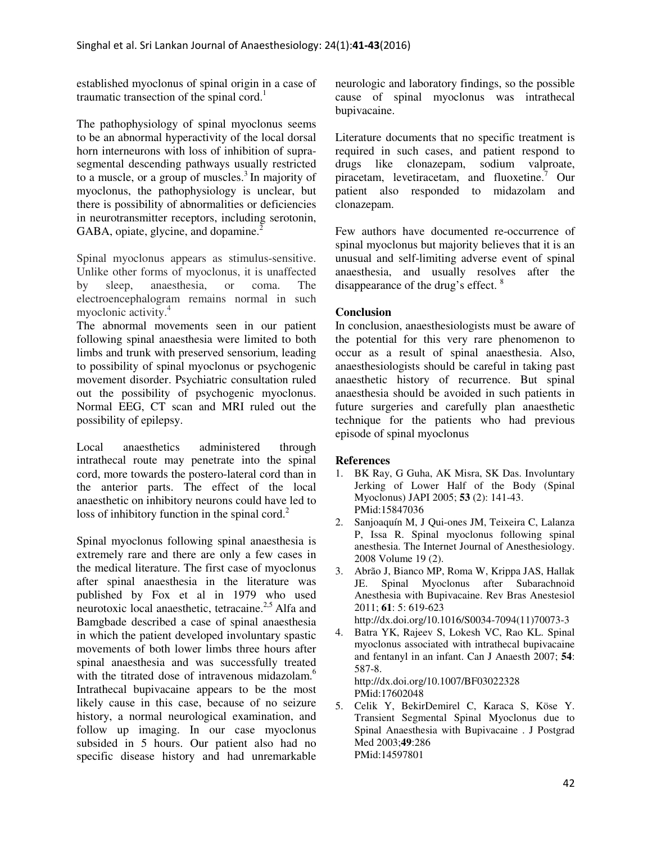established myoclonus of spinal origin in a case of traumatic transection of the spinal cord.<sup>1</sup>

The pathophysiology of spinal myoclonus seems to be an abnormal hyperactivity of the local dorsal horn interneurons with loss of inhibition of suprasegmental descending pathways usually restricted to a muscle, or a group of muscles.<sup>3</sup> In majority of myoclonus, the pathophysiology is unclear, but there is possibility of abnormalities or deficiencies in neurotransmitter receptors, including serotonin, GABA, opiate, glycine, and dopamine.<sup>2</sup>

Spinal myoclonus appears as stimulus-sensitive. Unlike other forms of myoclonus, it is unaffected by sleep, anaesthesia, or coma. The electroencephalogram remains normal in such myoclonic activity.<sup>4</sup>

The abnormal movements seen in our patient following spinal anaesthesia were limited to both limbs and trunk with preserved sensorium, leading to possibility of spinal myoclonus or psychogenic movement disorder. Psychiatric consultation ruled out the possibility of psychogenic myoclonus. Normal EEG, CT scan and MRI ruled out the possibility of epilepsy.

Local anaesthetics administered through intrathecal route may penetrate into the spinal cord, more towards the postero-lateral cord than in the anterior parts. The effect of the local anaesthetic on inhibitory neurons could have led to loss of inhibitory function in the spinal cord. $2^2$ 

Spinal myoclonus following spinal anaesthesia is extremely rare and there are only a few cases in the medical literature. The first case of myoclonus after spinal anaesthesia in the literature was published by Fox et al in 1979 who used neurotoxic local anaesthetic, tetracaine. $2.5$  Alfa and Bamgbade described a case of spinal anaesthesia in which the patient developed involuntary spastic movements of both lower limbs three hours after spinal anaesthesia and was successfully treated with the titrated dose of intravenous midazolam.<sup>6</sup> Intrathecal bupivacaine appears to be the most likely cause in this case, because of no seizure history, a normal neurological examination, and follow up imaging. In our case myoclonus subsided in 5 hours. Our patient also had no specific disease history and had unremarkable neurologic and laboratory findings, so the possible cause of spinal myoclonus was intrathecal bupivacaine.

Literature documents that no specific treatment is required in such cases, and patient respond to drugs like clonazepam, sodium valproate, sodium valproate, piracetam, levetiracetam, and fluoxetine.<sup>7</sup> Our patient also responded to midazolam and clonazepam.

Few authors have documented re-occurrence of spinal myoclonus but majority believes that it is an unusual and self-limiting adverse event of spinal anaesthesia, and usually resolves after the disappearance of the drug's effect. <sup>8</sup>

## **Conclusion**

In conclusion, anaesthesiologists must be aware of the potential for this very rare phenomenon to occur as a result of spinal anaesthesia. Also, anaesthesiologists should be careful in taking past anaesthetic history of recurrence. But spinal anaesthesia should be avoided in such patients in future surgeries and carefully plan anaesthetic technique for the patients who had previous episode of spinal myoclonus

### **References**

- 1. BK Ray, G Guha, AK Misra, SK Das. Involuntary Jerking of Lower Half of the Body (Spinal Myoclonus) JAPI 2005; **53** (2): 141-43. PMid:15847036
- 2. Sanjoaquín M, J Qui-ones JM, Teixeira C, Lalanza P, Issa R. Spinal myoclonus following spinal anesthesia. The Internet Journal of Anesthesiology. 2008 Volume 19 (2).
- 3. Abrão J, Bianco MP, Roma W, Krippa JAS, Hallak JE. Spinal Myoclonus after Subarachnoid Anesthesia with Bupivacaine. Rev Bras Anestesiol 2011; **61**: 5: 619-623 http://dx.doi.org/10.1016/S0034-7094(11)70073-3
- 4. Batra YK, Rajeev S, Lokesh VC, Rao KL. Spinal myoclonus associated with intrathecal bupivacaine and fentanyl in an infant. Can J Anaesth 2007; **54**: 587-8. http://dx.doi.org/10.1007/BF03022328

PMid:17602048

5. Celik Y, BekirDemirel C, Karaca S, Köse Y. Transient Segmental Spinal Myoclonus due to Spinal Anaesthesia with Bupivacaine . J Postgrad Med 2003;**49**:286 PMid:14597801